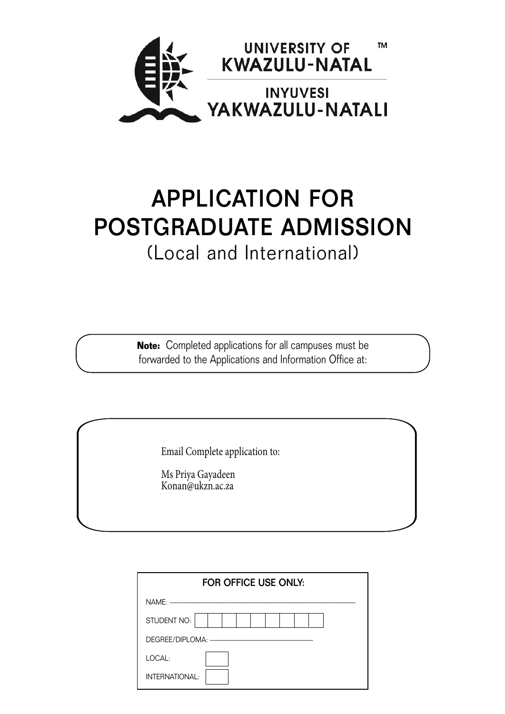

## Application for postgraduate aDMISSION (Local and International)

**Note:** Completed applications for all campuses must be forwarded to the Applications and Information Office at:

Email Complete application to:

Ms Priya Gayadeen Konan@ukzn.ac.za

| <b>FOR OFFICE USE ONLY:</b> |
|-----------------------------|
|                             |
| STUDENT NO:                 |
|                             |
| LOCAL:                      |
| INTERNATIONAL:              |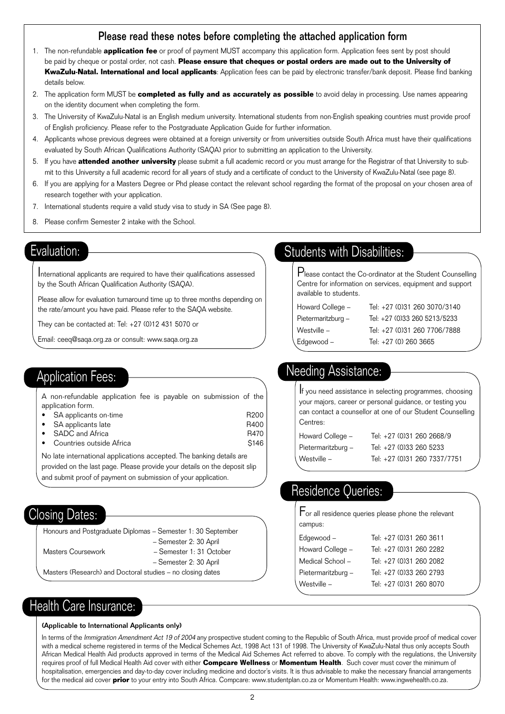#### Please read these notes before completing the attached application form

- 1. The non-refundable **application fee** or proof of payment MUST accompany this application form. Application fees sent by post should be paid by cheque or postal order, not cash. **Please ensure that cheques or postal orders are made out to the University of KwaZulu-Natal. International and local applicants**: Application fees can be paid by electronic transfer/bank deposit. Please find banking details below.
- 2. The application form MUST be **completed as fully and as accurately as possible** to avoid delay in processing. Use names appearing on the identity document when completing the form.
- 3. The University of KwaZulu-Natal is an English medium university. International students from non-English speaking countries must provide proof of English proficiency. Please refer to the Postgraduate Application Guide for further information.
- 4. Applicants whose previous degrees were obtained at a foreign university or from universities outside South Africa must have their qualifications evaluated by South African Qualifications Authority (SAQA) prior to submitting an application to the University.
- 5. If you have **attended another university** please submit a full academic record or you must arrange for the Registrar of that University to submit to this University a full academic record for all years of study and a certificate of conduct to the University of KwaZulu-Natal (see page 8).
- 6. If you are applying for a Masters Degree or Phd please contact the relevant school regarding the format of the proposal on your chosen area of research together with your application.
- 7. International students require a valid study visa to study in SA (See page 8).
- 8. Please confirm Semester 2 intake with the School.

#### Evaluation:

International applicants are required to have their qualifications assessed by the South African Qualification Authority (SAQA).

Please allow for evaluation turnaround time up to three months depending on the rate/amount you have paid. Please refer to the SAQA website.

They can be contacted at: Tel: +27 (0)12 431 5070 or

Email: ceeq@saqa.org.za or consult: www.saqa.org.za

#### Application Fees:

A non-refundable application fee is payable on submission of the application form.

- SA applicants on-time **SA applicants** on-time
- SA applicants late **SA applicants** late
- SADC and Africa **R470**
- **Countries outside Africa** 6146

No late international applications accepted. The banking details are provided on the last page. Please provide your details on the deposit slip and submit proof of payment on submission of your application.

#### Closing Dates:

Honours and Postgraduate Diplomas – Semester 1: 30 September

| Masters Coursework |  |
|--------------------|--|
|                    |  |

- Semester 2: 30 April – Semester 1: 31 October
- Semester 2: 30 April

Masters (Research) and Doctoral studies – no closing dates

#### Health Care Insurance:

#### (Applicable to International Applicants only)

In terms of the Immigration Amendment Act 19 of 2004 any prospective student coming to the Republic of South Africa, must provide proof of medical cover with a medical scheme registered in terms of the Medical Schemes Act, 1998 Act 131 of 1998. The University of KwaZulu-Natal thus only accepts South African Medical Health Aid products approved in terms of the Medical Aid Schemes Act referred to above. To comply with the regulations, the University requires proof of full Medical Health Aid cover with either **Compcare Wellness** or **Momentum Health**. Such cover must cover the minimum of hospitalisation, emergencies and day-to-day cover including medicine and doctor's visits. It is thus advisable to make the necessary financial arrangements for the medical aid cover **prior** to your entry into South Africa. Compcare: www.studentplan.co.za or Momentum Health: www.ingwehealth.co.za.

#### Students with Disabilities:

Please contact the Co-ordinator at the Student Counselling Centre for information on services, equipment and support available to students.

| Tel: +27 (0)31 260 3070/3140 |
|------------------------------|
| Tel: +27 (0)33 260 5213/5233 |
| Tel: +27 (0)31 260 7706/7888 |
| Tel: +27 (0) 260 3665        |
|                              |

#### Needing Assistance:

If you need assistance in selecting programmes, choosing your majors, career or personal guidance, or testing you can contact a counsellor at one of our Student Counselling Centres:

| Howard College -   | Tel: +27 (0)31 260 2668/9    |
|--------------------|------------------------------|
| Pietermaritzburg - | Tel: +27 (0)33 260 5233      |
| Westville –        | Tel: +27 (0)31 260 7337/7751 |

#### Residence Queries:

For all residence queries please phone the relevant campus:

| Tel: +27 (0)31 260 3611 |
|-------------------------|
| Tel: +27 (0)31 260 2282 |
| Tel: +27 (0)31 260 2082 |
| Tel: +27 (0)33 260 2793 |
| Tel: +27 (0)31 260 8070 |
|                         |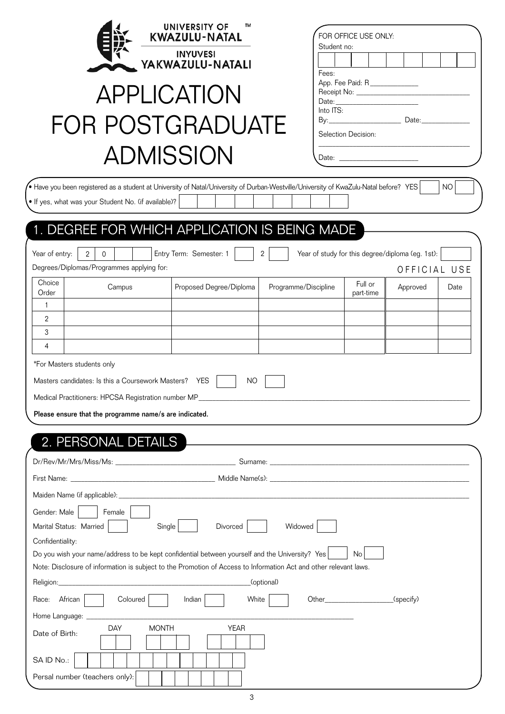| <b>UNIVERSITY OF</b><br>TM<br><b>KWAZULU-NATAL</b> |
|----------------------------------------------------|
| INYUVESI<br>YAKWAZULU-NATALI                       |
| ΔΡΡΙ ΙΟΑΠΟΝ                                        |

# for POSTGRADUATE aDMISSION

|           | Student no: |                                |                     |  |  |
|-----------|-------------|--------------------------------|---------------------|--|--|
| Fees:     |             |                                |                     |  |  |
|           |             | App. Fee Paid: R______________ |                     |  |  |
|           |             |                                |                     |  |  |
|           |             |                                |                     |  |  |
| Into ITS: |             |                                |                     |  |  |
|           |             | By:___________________________ | Date: $\frac{1}{2}$ |  |  |
|           |             |                                |                     |  |  |

|                                                                                                                                                                                                      | In Have you been registered as a student at University of Natal/University of Durban-Westville/University of KwaZulu-Natal before? YES |              |                         |                         |             |            |                      |                                               |                                                  |              |
|------------------------------------------------------------------------------------------------------------------------------------------------------------------------------------------------------|----------------------------------------------------------------------------------------------------------------------------------------|--------------|-------------------------|-------------------------|-------------|------------|----------------------|-----------------------------------------------|--------------------------------------------------|--------------|
|                                                                                                                                                                                                      | . If yes, what was your Student No. (if available)?                                                                                    |              |                         |                         |             |            |                      |                                               |                                                  |              |
|                                                                                                                                                                                                      |                                                                                                                                        |              |                         |                         |             |            |                      |                                               |                                                  |              |
|                                                                                                                                                                                                      | 1. DEGREE FOR WHICH APPLICATION IS BEING MADE                                                                                          |              |                         |                         |             |            |                      |                                               |                                                  |              |
| Year of entry:                                                                                                                                                                                       | $\mathbf{2}$<br>$\mathsf{O}\xspace$                                                                                                    |              | Entry Term: Semester: 1 |                         |             | 2          |                      |                                               | Year of study for this degree/diploma (eg. 1st): |              |
|                                                                                                                                                                                                      | Degrees/Diplomas/Programmes applying for:                                                                                              |              |                         |                         |             |            |                      |                                               |                                                  | OFFICIAL USE |
| Choice<br>Order                                                                                                                                                                                      | Campus                                                                                                                                 |              |                         | Proposed Degree/Diploma |             |            | Programme/Discipline | Full or<br>part-time                          | Approved                                         | Date         |
| $\mathbf{1}$<br>2                                                                                                                                                                                    |                                                                                                                                        |              |                         |                         |             |            |                      |                                               |                                                  |              |
| 3                                                                                                                                                                                                    |                                                                                                                                        |              |                         |                         |             |            |                      |                                               |                                                  |              |
| 4                                                                                                                                                                                                    |                                                                                                                                        |              |                         |                         |             |            |                      |                                               |                                                  |              |
| *For Masters students only                                                                                                                                                                           |                                                                                                                                        |              |                         |                         |             |            |                      |                                               |                                                  |              |
|                                                                                                                                                                                                      | Please ensure that the programme name/s are indicated.                                                                                 |              |                         |                         |             |            |                      |                                               |                                                  |              |
|                                                                                                                                                                                                      | 2. PERSONAL DETAILS                                                                                                                    |              |                         |                         |             |            |                      |                                               |                                                  |              |
|                                                                                                                                                                                                      |                                                                                                                                        |              |                         |                         |             |            |                      |                                               |                                                  |              |
|                                                                                                                                                                                                      |                                                                                                                                        |              |                         |                         |             |            |                      |                                               |                                                  |              |
|                                                                                                                                                                                                      |                                                                                                                                        |              |                         |                         |             |            |                      |                                               |                                                  |              |
|                                                                                                                                                                                                      | Female                                                                                                                                 |              |                         |                         |             |            |                      |                                               |                                                  |              |
|                                                                                                                                                                                                      |                                                                                                                                        | Single       |                         | Divorced                |             |            | Widowed              |                                               |                                                  |              |
|                                                                                                                                                                                                      | Do you wish your name/address to be kept confidential between yourself and the University? Yes                                         |              |                         |                         |             |            |                      | No                                            |                                                  |              |
|                                                                                                                                                                                                      | Note: Disclosure of information is subject to the Promotion of Access to Information Act and other relevant laws.                      |              |                         |                         |             |            |                      |                                               |                                                  |              |
|                                                                                                                                                                                                      |                                                                                                                                        |              |                         |                         |             | (optional) |                      |                                               |                                                  |              |
|                                                                                                                                                                                                      | Coloured                                                                                                                               |              | Indian                  |                         | White       |            |                      | Other <b>Community</b> Other <b>Community</b> | (specify)                                        |              |
|                                                                                                                                                                                                      |                                                                                                                                        |              |                         |                         |             |            |                      |                                               |                                                  |              |
|                                                                                                                                                                                                      | DAY                                                                                                                                    | <b>MONTH</b> |                         |                         | <b>YEAR</b> |            |                      |                                               |                                                  |              |
| Medical Practitioners: HPCSA Registration number MP_<br>Gender: Male<br>Marital Status: Married<br>Confidentiality:<br>Religion:<br>Race: African<br>Home Language: _<br>Date of Birth:<br>SAID No.: |                                                                                                                                        |              |                         |                         |             |            |                      |                                               |                                                  |              |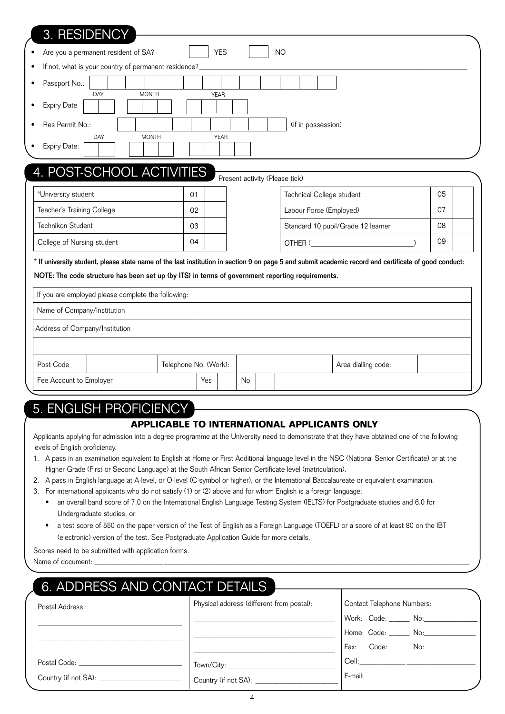| 3. RESIDENCY                                                                                                                                           |                       |     |             |           |                                                                                                                                                       |    |  |
|--------------------------------------------------------------------------------------------------------------------------------------------------------|-----------------------|-----|-------------|-----------|-------------------------------------------------------------------------------------------------------------------------------------------------------|----|--|
| Are you a permanent resident of SA?                                                                                                                    |                       |     | <b>YES</b>  |           | N <sub>O</sub>                                                                                                                                        |    |  |
| If not, what is your country of permanent residence?                                                                                                   |                       |     |             |           |                                                                                                                                                       |    |  |
| Passport No.:                                                                                                                                          |                       |     |             |           |                                                                                                                                                       |    |  |
| DAY<br><b>MONTH</b><br><b>Expiry Date</b>                                                                                                              |                       |     | <b>YEAR</b> |           |                                                                                                                                                       |    |  |
| Res Permit No.:                                                                                                                                        |                       |     |             |           | (if in possession)                                                                                                                                    |    |  |
| <b>MONTH</b><br><b>DAY</b><br>Expiry Date:                                                                                                             |                       |     | <b>YEAR</b> |           |                                                                                                                                                       |    |  |
| 4. POST-SCHOOL ACTIVITIES                                                                                                                              |                       |     |             |           | Present activity (Please tick)                                                                                                                        |    |  |
| *University student                                                                                                                                    | 01                    |     |             |           | Technical College student                                                                                                                             | 05 |  |
| Teacher's Training College                                                                                                                             | 02                    |     |             |           | Labour Force (Employed)                                                                                                                               | 07 |  |
| Technikon Student                                                                                                                                      | 03                    |     |             |           | Standard 10 pupil/Grade 12 learner                                                                                                                    | 08 |  |
| College of Nursing student                                                                                                                             | 04                    |     |             |           | OTHER (                                                                                                                                               | 09 |  |
| NOTE: The code structure has been set up (by ITS) in terms of government reporting requirements.<br>If you are employed please complete the following: |                       |     |             |           | * If university student, please state name of the last institution in section 9 on page 5 and submit academic record and certificate of good conduct: |    |  |
| Name of Company/Institution                                                                                                                            |                       |     |             |           |                                                                                                                                                       |    |  |
| Address of Company/Institution                                                                                                                         |                       |     |             |           |                                                                                                                                                       |    |  |
|                                                                                                                                                        |                       |     |             |           |                                                                                                                                                       |    |  |
| Post Code                                                                                                                                              | Telephone No. (Work): |     |             |           | Area dialling code:                                                                                                                                   |    |  |
| Fee Account to Employer                                                                                                                                |                       | Yes |             | <b>No</b> |                                                                                                                                                       |    |  |
|                                                                                                                                                        |                       |     |             |           |                                                                                                                                                       |    |  |

#### 5. english proficiency

#### **APPLICABLE TO INTERNATIONAL APPLICANTS ONLY**

Applicants applying for admission into a degree programme at the University need to demonstrate that they have obtained one of the following levels of English proficiency.

- 1. A pass in an examination equivalent to English at Home or First Additional language level in the NSC (National Senior Certificate) or at the Higher Grade (First or Second Language) at the South African Senior Certificate level (matriculation).
- 2. A pass in English language at A-level, or O-level (C-symbol or higher), or the International Baccalaureate or equivalent examination.
- 3. For international applicants who do not satisfy (1) or (2) above and for whom English is a foreign language:
	- an overall band score of 7.0 on the International English Language Testing System (IELTS) for Postgraduate studies and 6.0 for Undergraduate studies, or
	- a test score of 550 on the paper version of the Test of English as a Foreign Language (TOEFL) or a score of at least 80 on the IBT (electronic) version of the test. See Postgraduate Application Guide for more details.

Scores need to be submitted with application forms.

Name of document:

## 6. Address and contact details

| Postal Address: The Contract of the Postal Address:                                                             | Physical address (different from postal): | Contact Telephone Numbers:            |
|-----------------------------------------------------------------------------------------------------------------|-------------------------------------------|---------------------------------------|
|                                                                                                                 |                                           | Work: Code: ______ No: _______        |
|                                                                                                                 |                                           | Home: Code: ______ No: ____________   |
|                                                                                                                 |                                           | Code: No:<br>Fax:                     |
| Postal Code: The Contract of the Code of the Code of the Code of the Code of the Code of the Code of the Code o |                                           |                                       |
| Country (if not SA): _________________                                                                          | Country (if not SA): ___________          | E-mail: <u>Contract Communication</u> |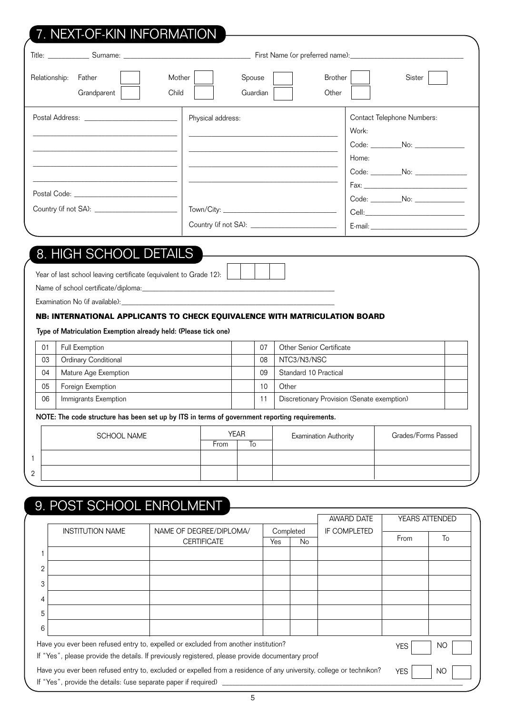## 7. next-of-kin information

| Relationship: | Father<br>Grandparent                                                                    | Mother<br>Child   | Spouse<br>Guardian                            | <b>Brother</b><br>Other | Sister                                       |  |  |  |  |  |
|---------------|------------------------------------------------------------------------------------------|-------------------|-----------------------------------------------|-------------------------|----------------------------------------------|--|--|--|--|--|
|               |                                                                                          | Physical address: |                                               |                         | Contact Telephone Numbers:<br>Work:<br>Home: |  |  |  |  |  |
|               | Postal Code: The Contract of the Code:<br>Country (if not SA): _________________________ |                   | Country (if not SA): ________________________ |                         | Code: _____________No: _________________     |  |  |  |  |  |
|               |                                                                                          |                   |                                               |                         |                                              |  |  |  |  |  |

## 8. high school details

Year of last school leaving certificate (equivalent to Grade 12):

Name of school certificate/diploma:

Examination No (if available):

#### **NB: International APPLICANTs to check equivalence with Matriculation Board**

Type of Matriculation Exemption already held: (Please tick one)

| 01 | Full Exemption       | 07 | <b>Other Senior Certificate</b>            |  |
|----|----------------------|----|--------------------------------------------|--|
| 03 | Ordinary Conditional | 08 | NTC3/N3/NSC                                |  |
| 04 | Mature Age Exemption | 09 | Standard 10 Practical                      |  |
| 05 | Foreign Exemption    | 10 | Other                                      |  |
| 06 | Immigrants Exemption |    | Discretionary Provision (Senate exemption) |  |

#### NOTE: The code structure has been set up by ITS in terms of government reporting requirements.

|        | <b>SCHOOL NAME</b> | <b>YEAR</b> |  | <b>Examination Authority</b> | Grades/Forms Passed |  |
|--------|--------------------|-------------|--|------------------------------|---------------------|--|
|        |                    | From        |  |                              |                     |  |
|        |                    |             |  |                              |                     |  |
| C<br>▵ |                    |             |  |                              |                     |  |
|        |                    |             |  |                              |                     |  |

### 9. post school enrolment

|                                                                                                                                         |                         |                         |           |           | <b>AWARD DATE</b>   | <b>YEARS ATTENDED</b> |    |
|-----------------------------------------------------------------------------------------------------------------------------------------|-------------------------|-------------------------|-----------|-----------|---------------------|-----------------------|----|
|                                                                                                                                         | <b>INSTITUTION NAME</b> | NAME OF DEGREE/DIPLOMA/ | Completed |           | <b>IF COMPLETED</b> |                       |    |
|                                                                                                                                         |                         | <b>CERTIFICATE</b>      | Yes       | <b>No</b> |                     | From                  | To |
|                                                                                                                                         |                         |                         |           |           |                     |                       |    |
| $\overline{2}$                                                                                                                          |                         |                         |           |           |                     |                       |    |
| 3                                                                                                                                       |                         |                         |           |           |                     |                       |    |
| 4                                                                                                                                       |                         |                         |           |           |                     |                       |    |
| 5                                                                                                                                       |                         |                         |           |           |                     |                       |    |
| 6                                                                                                                                       |                         |                         |           |           |                     |                       |    |
| Have you ever been refused entry to, expelled or excluded from another institution?<br>NO<br><b>YES</b>                                 |                         |                         |           |           |                     |                       |    |
| If "Yes", please provide the details. If previously registered, please provide documentary proof                                        |                         |                         |           |           |                     |                       |    |
| Have you ever been refused entry to, excluded or expelled from a residence of any university, college or technikon?<br><b>YES</b><br>NO |                         |                         |           |           |                     |                       |    |
| If "Yes", provide the details: (use separate paper if required)                                                                         |                         |                         |           |           |                     |                       |    |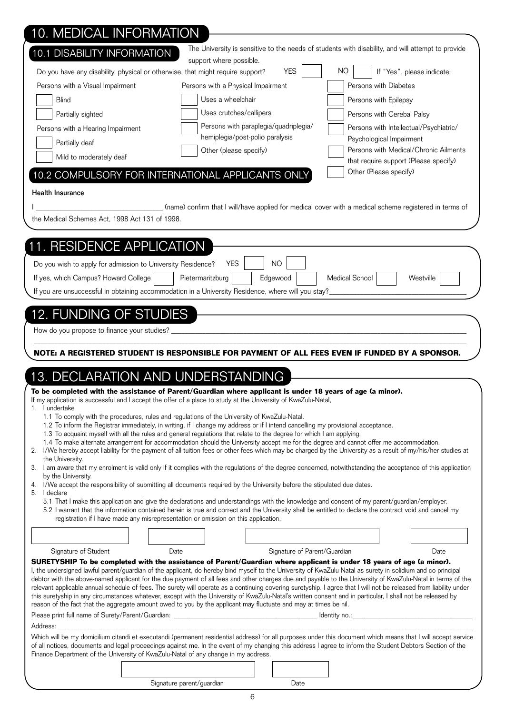## 10. MEDICAL IN

| 10. MEDICAL INFORMATION                                                                                                                                                                                                                                                                                                   |                                                                                                                                                                                                                                                                                                                                  |                                                                                                                                                               |  |  |  |  |
|---------------------------------------------------------------------------------------------------------------------------------------------------------------------------------------------------------------------------------------------------------------------------------------------------------------------------|----------------------------------------------------------------------------------------------------------------------------------------------------------------------------------------------------------------------------------------------------------------------------------------------------------------------------------|---------------------------------------------------------------------------------------------------------------------------------------------------------------|--|--|--|--|
| 10.1 DISABILITY INFORMATION                                                                                                                                                                                                                                                                                               |                                                                                                                                                                                                                                                                                                                                  | The University is sensitive to the needs of students with disability, and will attempt to provide                                                             |  |  |  |  |
| Do you have any disability, physical or otherwise, that might require support?                                                                                                                                                                                                                                            | support where possible.<br><b>YES</b>                                                                                                                                                                                                                                                                                            | NO.<br>If "Yes", please indicate:                                                                                                                             |  |  |  |  |
| Persons with a Visual Impairment                                                                                                                                                                                                                                                                                          | Persons with a Physical Impairment                                                                                                                                                                                                                                                                                               | Persons with Diabetes                                                                                                                                         |  |  |  |  |
| <b>Blind</b>                                                                                                                                                                                                                                                                                                              | Uses a wheelchair                                                                                                                                                                                                                                                                                                                | Persons with Epilepsy                                                                                                                                         |  |  |  |  |
| Partially sighted                                                                                                                                                                                                                                                                                                         | Uses crutches/callipers                                                                                                                                                                                                                                                                                                          | Persons with Cerebal Palsy                                                                                                                                    |  |  |  |  |
| Persons with a Hearing Impairment                                                                                                                                                                                                                                                                                         | Persons with paraplegia/quadriplegia/                                                                                                                                                                                                                                                                                            | Persons with Intellectual/Psychiatric/                                                                                                                        |  |  |  |  |
|                                                                                                                                                                                                                                                                                                                           | hemiplegia/post-polio paralysis                                                                                                                                                                                                                                                                                                  | Psychological Impairment                                                                                                                                      |  |  |  |  |
| Partially deaf                                                                                                                                                                                                                                                                                                            | Other (please specify)                                                                                                                                                                                                                                                                                                           | Persons with Medical/Chronic Ailments                                                                                                                         |  |  |  |  |
| Mild to moderately deaf                                                                                                                                                                                                                                                                                                   |                                                                                                                                                                                                                                                                                                                                  | that require support (Please specify)                                                                                                                         |  |  |  |  |
|                                                                                                                                                                                                                                                                                                                           | 10.2 COMPULSORY FOR INTERNATIONAL APPLICANTS ONLY                                                                                                                                                                                                                                                                                | Other (Please specify)                                                                                                                                        |  |  |  |  |
| <b>Health Insurance</b>                                                                                                                                                                                                                                                                                                   |                                                                                                                                                                                                                                                                                                                                  |                                                                                                                                                               |  |  |  |  |
|                                                                                                                                                                                                                                                                                                                           | (name) confirm that I will/have applied for medical cover with a medical scheme registered in terms of                                                                                                                                                                                                                           |                                                                                                                                                               |  |  |  |  |
| the Medical Schemes Act, 1998 Act 131 of 1998.                                                                                                                                                                                                                                                                            |                                                                                                                                                                                                                                                                                                                                  |                                                                                                                                                               |  |  |  |  |
|                                                                                                                                                                                                                                                                                                                           |                                                                                                                                                                                                                                                                                                                                  |                                                                                                                                                               |  |  |  |  |
| <b>11. RESIDENCE APPLICATION</b>                                                                                                                                                                                                                                                                                          |                                                                                                                                                                                                                                                                                                                                  |                                                                                                                                                               |  |  |  |  |
| Do you wish to apply for admission to University Residence?                                                                                                                                                                                                                                                               | <b>NO</b><br><b>YES</b>                                                                                                                                                                                                                                                                                                          |                                                                                                                                                               |  |  |  |  |
| If yes, which Campus? Howard College                                                                                                                                                                                                                                                                                      | Pietermaritzburg<br>Edgewood                                                                                                                                                                                                                                                                                                     | Medical School<br>Westville                                                                                                                                   |  |  |  |  |
|                                                                                                                                                                                                                                                                                                                           | If you are unsuccessful in obtaining accommodation in a University Residence, where will you stay?                                                                                                                                                                                                                               |                                                                                                                                                               |  |  |  |  |
|                                                                                                                                                                                                                                                                                                                           |                                                                                                                                                                                                                                                                                                                                  |                                                                                                                                                               |  |  |  |  |
| 12. FUNDING OF STUDIES                                                                                                                                                                                                                                                                                                    |                                                                                                                                                                                                                                                                                                                                  |                                                                                                                                                               |  |  |  |  |
| How do you propose to finance your studies?                                                                                                                                                                                                                                                                               |                                                                                                                                                                                                                                                                                                                                  |                                                                                                                                                               |  |  |  |  |
|                                                                                                                                                                                                                                                                                                                           |                                                                                                                                                                                                                                                                                                                                  |                                                                                                                                                               |  |  |  |  |
|                                                                                                                                                                                                                                                                                                                           | NOTE: A REGISTERED STUDENT IS RESPONSIBLE FOR PAYMENT OF ALL FEES EVEN IF FUNDED BY A SPONSOR.                                                                                                                                                                                                                                   |                                                                                                                                                               |  |  |  |  |
|                                                                                                                                                                                                                                                                                                                           |                                                                                                                                                                                                                                                                                                                                  |                                                                                                                                                               |  |  |  |  |
| <b>13. DECLARATION AND UNDERSTANDING</b>                                                                                                                                                                                                                                                                                  |                                                                                                                                                                                                                                                                                                                                  |                                                                                                                                                               |  |  |  |  |
|                                                                                                                                                                                                                                                                                                                           | To be completed with the assistance of Parent/Guardian where applicant is under 18 years of age (a minor).                                                                                                                                                                                                                       |                                                                                                                                                               |  |  |  |  |
| 1. lundertake                                                                                                                                                                                                                                                                                                             | If my application is successful and I accept the offer of a place to study at the University of KwaZulu-Natal,                                                                                                                                                                                                                   |                                                                                                                                                               |  |  |  |  |
|                                                                                                                                                                                                                                                                                                                           | 1.1 To comply with the procedures, rules and regulations of the University of KwaZulu-Natal.<br>1.2 To inform the Registrar immediately, in writing, if I change my address or if I intend cancelling my provisional acceptance.                                                                                                 |                                                                                                                                                               |  |  |  |  |
|                                                                                                                                                                                                                                                                                                                           | 1.3 To acquaint myself with all the rules and general regulations that relate to the degree for which I am applying.                                                                                                                                                                                                             |                                                                                                                                                               |  |  |  |  |
|                                                                                                                                                                                                                                                                                                                           | 1.4 To make alternate arrangement for accommodation should the University accept me for the degree and cannot offer me accommodation.<br>2. I/We hereby accept liability for the payment of all tuition fees or other fees which may be charged by the University as a result of my/his/her studies at                           |                                                                                                                                                               |  |  |  |  |
| the University.                                                                                                                                                                                                                                                                                                           |                                                                                                                                                                                                                                                                                                                                  |                                                                                                                                                               |  |  |  |  |
| 3. I am aware that my enrolment is valid only if it complies with the regulations of the degree concerned, notwithstanding the acceptance of this application<br>by the University.                                                                                                                                       |                                                                                                                                                                                                                                                                                                                                  |                                                                                                                                                               |  |  |  |  |
|                                                                                                                                                                                                                                                                                                                           | 4. I/We accept the responsibility of submitting all documents required by the University before the stipulated due dates.                                                                                                                                                                                                        |                                                                                                                                                               |  |  |  |  |
| 5. I declare<br>5.1 That I make this application and give the declarations and understandings with the knowledge and consent of my parent/guardian/employer.                                                                                                                                                              |                                                                                                                                                                                                                                                                                                                                  |                                                                                                                                                               |  |  |  |  |
| 5.2 I warrant that the information contained herein is true and correct and the University shall be entitled to declare the contract void and cancel my<br>registration if I have made any misrepresentation or omission on this application.                                                                             |                                                                                                                                                                                                                                                                                                                                  |                                                                                                                                                               |  |  |  |  |
|                                                                                                                                                                                                                                                                                                                           |                                                                                                                                                                                                                                                                                                                                  |                                                                                                                                                               |  |  |  |  |
|                                                                                                                                                                                                                                                                                                                           |                                                                                                                                                                                                                                                                                                                                  |                                                                                                                                                               |  |  |  |  |
| Signature of Student                                                                                                                                                                                                                                                                                                      | Signature of Parent/Guardian<br>Date                                                                                                                                                                                                                                                                                             | Date                                                                                                                                                          |  |  |  |  |
|                                                                                                                                                                                                                                                                                                                           | SURETYSHIP To be completed with the assistance of Parent/Guardian where applicant is under 18 years of age (a minor).                                                                                                                                                                                                            |                                                                                                                                                               |  |  |  |  |
| I, the undersigned lawful parent/guardian of the applicant, do hereby bind myself to the University of KwaZulu-Natal as surety in solidium and co-principal<br>debtor with the above-named applicant for the due payment of all fees and other charges due and payable to the University of KwaZulu-Natal in terms of the |                                                                                                                                                                                                                                                                                                                                  |                                                                                                                                                               |  |  |  |  |
|                                                                                                                                                                                                                                                                                                                           | relevant applicable annual schedule of fees. The surety will operate as a continuing covering suretyship. I agree that I will not be released from liability under<br>this suretyship in any circumstances whatever, except with the University of KwaZulu-Natal's written consent and in particular, I shall not be released by |                                                                                                                                                               |  |  |  |  |
|                                                                                                                                                                                                                                                                                                                           |                                                                                                                                                                                                                                                                                                                                  |                                                                                                                                                               |  |  |  |  |
|                                                                                                                                                                                                                                                                                                                           | reason of the fact that the aggregate amount owed to you by the applicant may fluctuate and may at times be nil.                                                                                                                                                                                                                 |                                                                                                                                                               |  |  |  |  |
|                                                                                                                                                                                                                                                                                                                           |                                                                                                                                                                                                                                                                                                                                  |                                                                                                                                                               |  |  |  |  |
| Address:                                                                                                                                                                                                                                                                                                                  |                                                                                                                                                                                                                                                                                                                                  |                                                                                                                                                               |  |  |  |  |
|                                                                                                                                                                                                                                                                                                                           | of all notices, documents and legal proceedings against me. In the event of my changing this address I agree to inform the Student Debtors Section of the                                                                                                                                                                        | Which will be my domicilium citandi et executandi (permanent residential address) for all purposes under this document which means that I will accept service |  |  |  |  |

Signature parent/guardian Date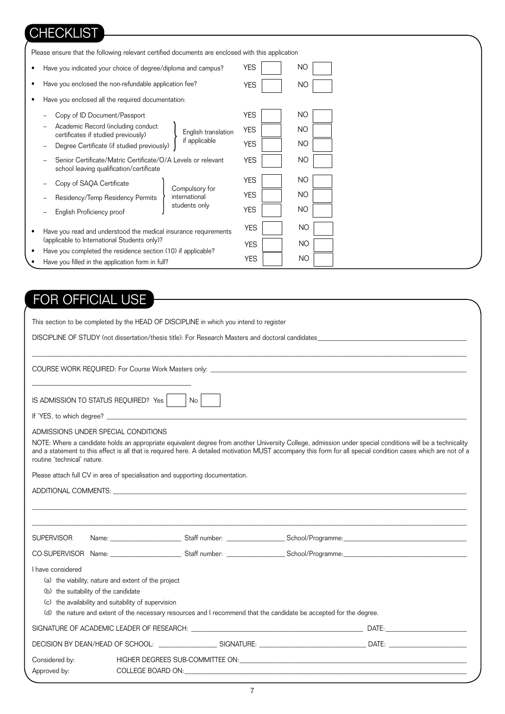## **CHECKLIST**

| Please ensure that the following relevant certified documents are enclosed with this application         |                         |  |  |
|----------------------------------------------------------------------------------------------------------|-------------------------|--|--|
| Have you indicated your choice of degree/diploma and campus?                                             | <b>YES</b><br>NO.       |  |  |
| Have you enclosed the non-refundable application fee?                                                    | NO<br><b>YES</b>        |  |  |
| Have you enclosed all the required documentation:                                                        |                         |  |  |
| Copy of ID Document/Passport                                                                             | NO<br><b>YES</b>        |  |  |
| Academic Record (including conduct<br>English translation<br>certificates if studied previously)         | NO<br><b>YES</b>        |  |  |
| if applicable<br>Degree Certificate (if studied previously)                                              | NO.<br><b>YES</b>       |  |  |
| Senior Certificate/Matric Certificate/O/A Levels or relevant<br>school leaving qualification/certificate | <b>NO</b><br><b>YES</b> |  |  |
| Copy of SAQA Certificate                                                                                 | <b>NO</b><br><b>YES</b> |  |  |
| Compulsory for<br>international<br>Residency/Temp Residency Permits                                      | <b>YES</b><br>NO        |  |  |
| students only<br>English Proficiency proof                                                               | NO.<br><b>YES</b>       |  |  |
| Have you read and understood the medical insurance requirements                                          | <b>NO</b><br><b>YES</b> |  |  |
| (applicable to International Students only)?                                                             | NO.<br><b>YES</b>       |  |  |
| Have you completed the residence section (10) if applicable?                                             | <b>YES</b><br>NO.       |  |  |
| Have you filled in the application form in full?                                                         |                         |  |  |

## for official use

|                                |                                                                                                                                                    | This section to be completed by the HEAD OF DISCIPLINE in which you intend to register |                                                                                                                                                                                                                                                                                                                             |  |
|--------------------------------|----------------------------------------------------------------------------------------------------------------------------------------------------|----------------------------------------------------------------------------------------|-----------------------------------------------------------------------------------------------------------------------------------------------------------------------------------------------------------------------------------------------------------------------------------------------------------------------------|--|
|                                |                                                                                                                                                    |                                                                                        |                                                                                                                                                                                                                                                                                                                             |  |
|                                | IS ADMISSION TO STATUS REQUIRED? $Yes \mid \text{No} \mid \text{}$                                                                                 |                                                                                        |                                                                                                                                                                                                                                                                                                                             |  |
| routine 'technical' nature.    | ADMISSIONS UNDER SPECIAL CONDITIONS                                                                                                                |                                                                                        | NOTE: Where a candidate holds an appropriate equivalent degree from another University College, admission under special conditions will be a technicality<br>and a statement to this effect is all that is required here. A detailed motivation MUST accompany this form for all special condition cases which are not of a |  |
|                                | Please attach full CV in area of specialisation and supporting documentation.                                                                      |                                                                                        |                                                                                                                                                                                                                                                                                                                             |  |
|                                |                                                                                                                                                    |                                                                                        |                                                                                                                                                                                                                                                                                                                             |  |
| <b>SUPERVISOR</b>              |                                                                                                                                                    |                                                                                        |                                                                                                                                                                                                                                                                                                                             |  |
|                                |                                                                                                                                                    |                                                                                        |                                                                                                                                                                                                                                                                                                                             |  |
| I have considered              | (a) the viability, nature and extent of the project<br>(b) the suitability of the candidate<br>(c) the availability and suitability of supervision |                                                                                        | (d) the nature and extent of the necessary resources and I recommend that the candidate be accepted for the degree.                                                                                                                                                                                                         |  |
|                                |                                                                                                                                                    |                                                                                        |                                                                                                                                                                                                                                                                                                                             |  |
|                                |                                                                                                                                                    |                                                                                        |                                                                                                                                                                                                                                                                                                                             |  |
| Considered by:<br>Approved by: |                                                                                                                                                    |                                                                                        | COLLEGE BOARD ON: WE ARREST THE STATE OF THE STATE OF THE STATE OF THE STATE OF THE STATE OF THE STATE OF THE STATE OF THE STATE OF THE STATE OF THE STATE OF THE STATE OF THE STATE OF THE STATE OF THE STATE OF THE STATE OF                                                                                              |  |